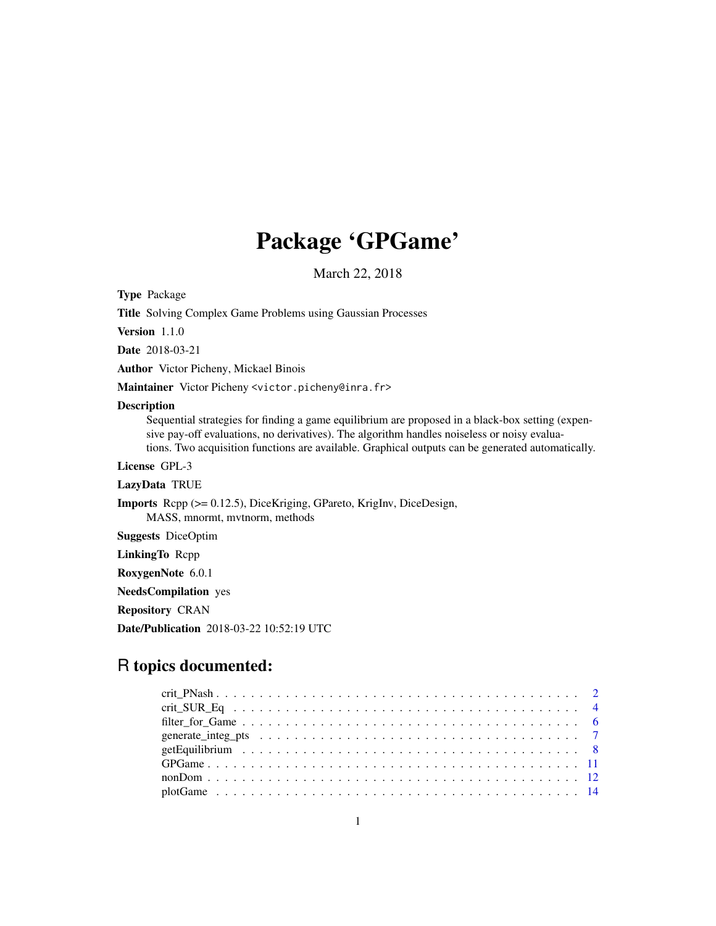# Package 'GPGame'

March 22, 2018

<span id="page-0-0"></span>Type Package

Title Solving Complex Game Problems using Gaussian Processes

Version 1.1.0

Date 2018-03-21

Author Victor Picheny, Mickael Binois

Maintainer Victor Picheny <victor.picheny@inra.fr>

# Description

Sequential strategies for finding a game equilibrium are proposed in a black-box setting (expensive pay-off evaluations, no derivatives). The algorithm handles noiseless or noisy evaluations. Two acquisition functions are available. Graphical outputs can be generated automatically.

License GPL-3

LazyData TRUE

Imports Rcpp (>= 0.12.5), DiceKriging, GPareto, KrigInv, DiceDesign, MASS, mnormt, mvtnorm, methods

Suggests DiceOptim

LinkingTo Rcpp

RoxygenNote 6.0.1

NeedsCompilation yes

Repository CRAN

Date/Publication 2018-03-22 10:52:19 UTC

# R topics documented: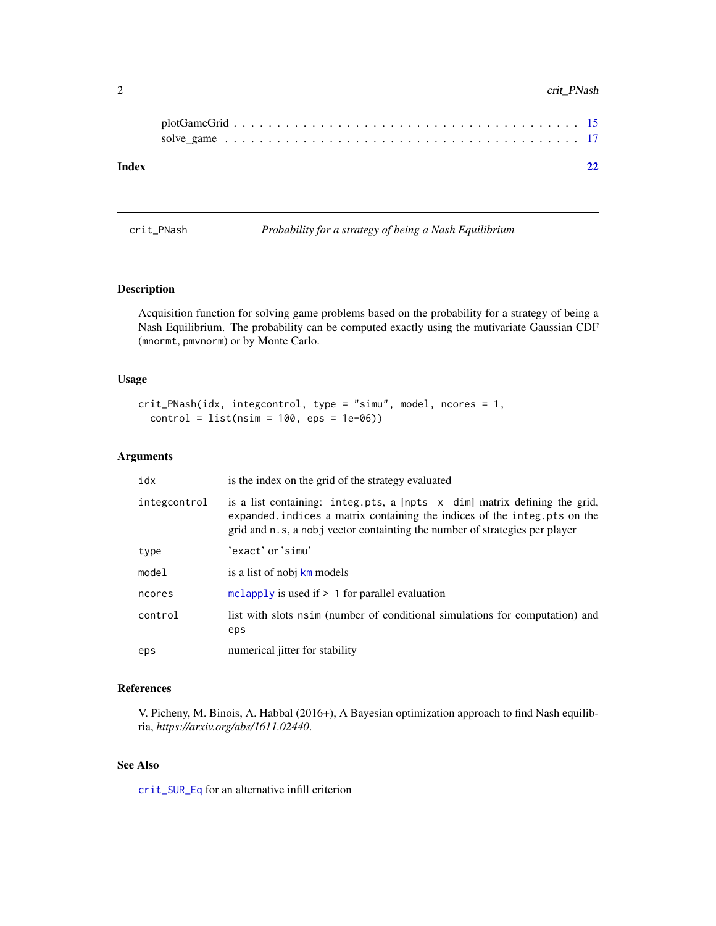# <span id="page-1-0"></span>2 crit\_PNash

| Index |  |  |  |  |  |  |  |  |  |  |  |  |  |  |  |  | 22 |
|-------|--|--|--|--|--|--|--|--|--|--|--|--|--|--|--|--|----|

<span id="page-1-1"></span>crit\_PNash *Probability for a strategy of being a Nash Equilibrium*

# Description

Acquisition function for solving game problems based on the probability for a strategy of being a Nash Equilibrium. The probability can be computed exactly using the mutivariate Gaussian CDF (mnormt, pmvnorm) or by Monte Carlo.

#### Usage

```
crit_PNash(idx, integcontrol, type = "simu", model, ncores = 1,
  control = list(nsim = 100,eps = 1e-06)
```
# Arguments

| idx          | is the index on the grid of the strategy evaluated                                                                                                                                                                                               |
|--------------|--------------------------------------------------------------------------------------------------------------------------------------------------------------------------------------------------------------------------------------------------|
| integcontrol | is a list containing: integ.pts, a $[$ npts $ \times$ dim] matrix defining the grid,<br>expanded indices a matrix containing the indices of the integ. pts on the<br>grid and n.s. a nobj vector containting the number of strategies per player |
| type         | 'exact'or'simu'                                                                                                                                                                                                                                  |
| model        | is a list of nobj km models                                                                                                                                                                                                                      |
| ncores       | $mclapply$ is used if $> 1$ for parallel evaluation                                                                                                                                                                                              |
| control      | list with slots nsim (number of conditional simulations for computation) and<br>eps                                                                                                                                                              |
| eps          | numerical jitter for stability                                                                                                                                                                                                                   |

## References

V. Picheny, M. Binois, A. Habbal (2016+), A Bayesian optimization approach to find Nash equilibria, *https://arxiv.org/abs/1611.02440*.

# See Also

[crit\\_SUR\\_Eq](#page-3-1) for an alternative infill criterion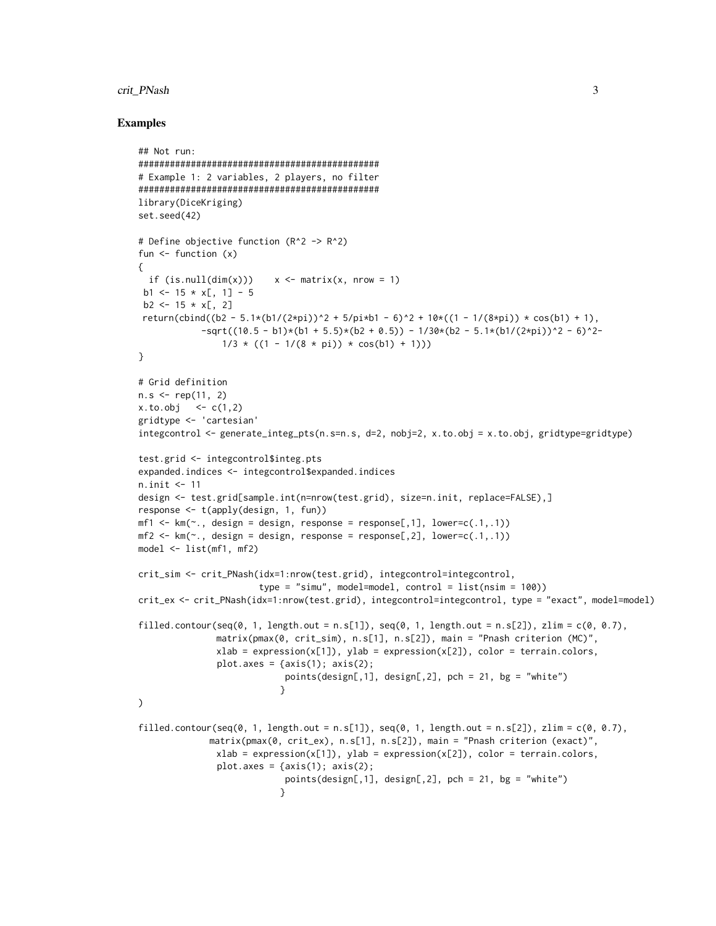#### crit\_PNash 3

```
## Not run:
##############################################
# Example 1: 2 variables, 2 players, no filter
##############################################
library(DiceKriging)
set.seed(42)
# Define objective function (R^2 -> R^2)
fun \leq function (x){
  if (is.null(dim(x))) x \leq - matrix(x, nrow = 1)
 b1 <- 15 \star x[, 1] - 5
 b2 \le -15 \times x[, 2]
return(cbind((b2 - 5.1*(b1/(2*pi))^2 + 5/pi*b1 - 6)^2 + 10*((1 - 1/(8*pi)) * cos(b1) + 1),
            -sqrt((10.5 - b1)*(b1 + 5.5)*(b2 + 0.5)) - 1/30*(b2 - 5.1*(b1/(2*pi))^2 - 6)^2-1/3 * ((1 - 1/(8 * pi)) * cos(b1) + 1)))}
# Grid definition
n.s < - rep(11, 2)x. to. obj < -c(1, 2)gridtype <- 'cartesian'
integcontrol <- generate_integ_pts(n.s=n.s, d=2, nobj=2, x.to.obj = x.to.obj, gridtype=gridtype)
test.grid <- integcontrol$integ.pts
expanded.indices <- integcontrol$expanded.indices
n.init <- 11
design <- test.grid[sample.int(n=nrow(test.grid), size=n.init, replace=FALSE),]
response <- t(apply(design, 1, fun))
mf1 \leftarrow km(\sim. , design = design, response = response[, 1], lower=c(.1,.1))mf2 \leq km(\sim ., design = design, response = response[, 2], lower=c(.1,.1))model <- list(mf1, mf2)
crit_sim <- crit_PNash(idx=1:nrow(test.grid), integcontrol=integcontrol,
                       type = "simu", model=model, control = list(nsim = 100))
crit_ex <- crit_PNash(idx=1:nrow(test.grid), integcontrol=integcontrol, type = "exact", model=model)
filled.contour(seq(0, 1, length.out = n.s[1]), seq(0, 1, length.out = n.s[2]), zlim = c(0, 0.7),
               matrix(pmax(0, crit_sim), n.s[1], n.s[2]), main = "Pnash criterion (MC)",
               xlab = expression(x[1]), ylab = expression(x[2]), color = terrain.colors,
               plot.axes = \{axis(1); axis(2);points(design[,1], design[,2], pch = 21, bg = "white")
                            }
\mathcal{L}filled.contour(seq(0, 1, length.out = n.s[1]), seq(0, 1, length.out = n.s[2]), zlim = c(0, 0.7),
              matrix(pmax(0, crit_ex), n.s[1], n.s[2]), main = "Pnash criterion (exact)",
               xlab = expression(x[1]), ylab = expression(x[2]), color = terrain.colors,
               plot.axes = {axis(1); axis(2);}points(design[, 1], design[, 2], pch = 21, bg = "white")}
```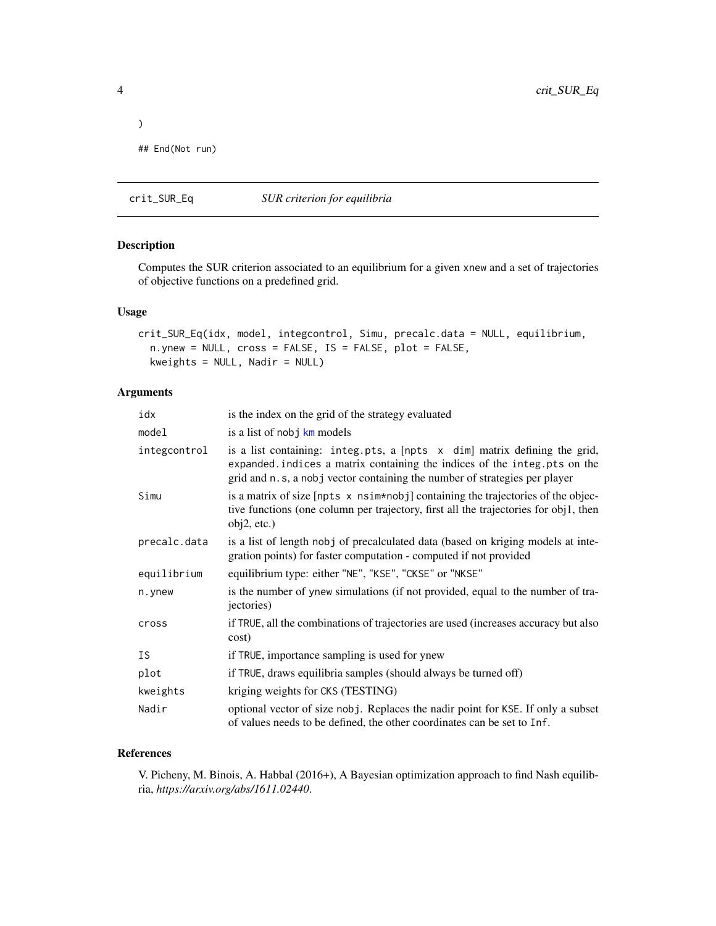```
)
## End(Not run)
```
<span id="page-3-1"></span>crit\_SUR\_Eq *SUR criterion for equilibria*

# Description

Computes the SUR criterion associated to an equilibrium for a given xnew and a set of trajectories of objective functions on a predefined grid.

#### Usage

```
crit_SUR_Eq(idx, model, integcontrol, Simu, precalc.data = NULL, equilibrium,
 n.ynew = NULL, cross = FALSE, IS = FALSE, plot = FALSE,
 kweights = NULL, Nadir = NULL)
```
# Arguments

| idx          | is the index on the grid of the strategy evaluated                                                                                                                                                                                    |
|--------------|---------------------------------------------------------------------------------------------------------------------------------------------------------------------------------------------------------------------------------------|
| model        | is a list of nobj km models                                                                                                                                                                                                           |
| integcontrol | is a list containing: integ.pts, a [npts x dim] matrix defining the grid,<br>expanded. indices a matrix containing the indices of the integ. pts on the<br>grid and n.s, a nobj vector containing the number of strategies per player |
| Simu         | is a matrix of size [npts x nsim*nobj] containing the trajectories of the objec-<br>tive functions (one column per trajectory, first all the trajectories for obj1, then<br>obj2, etc.)                                               |
| precalc.data | is a list of length nobj of precalculated data (based on kriging models at inte-<br>gration points) for faster computation - computed if not provided                                                                                 |
| equilibrium  | equilibrium type: either "NE", "KSE", "CKSE" or "NKSE"                                                                                                                                                                                |
| n.ynew       | is the number of ynew simulations (if not provided, equal to the number of tra-<br>jectories)                                                                                                                                         |
| cross        | if TRUE, all the combinations of trajectories are used (increases accuracy but also<br>cost)                                                                                                                                          |
| <b>IS</b>    | if TRUE, importance sampling is used for ynew                                                                                                                                                                                         |
| plot         | if TRUE, draws equilibria samples (should always be turned off)                                                                                                                                                                       |
| kweights     | kriging weights for CKS (TESTING)                                                                                                                                                                                                     |
| Nadir        | optional vector of size nobj. Replaces the nadir point for KSE. If only a subset<br>of values needs to be defined, the other coordinates can be set to Inf.                                                                           |

# References

V. Picheny, M. Binois, A. Habbal (2016+), A Bayesian optimization approach to find Nash equilibria, *https://arxiv.org/abs/1611.02440*.

<span id="page-3-0"></span>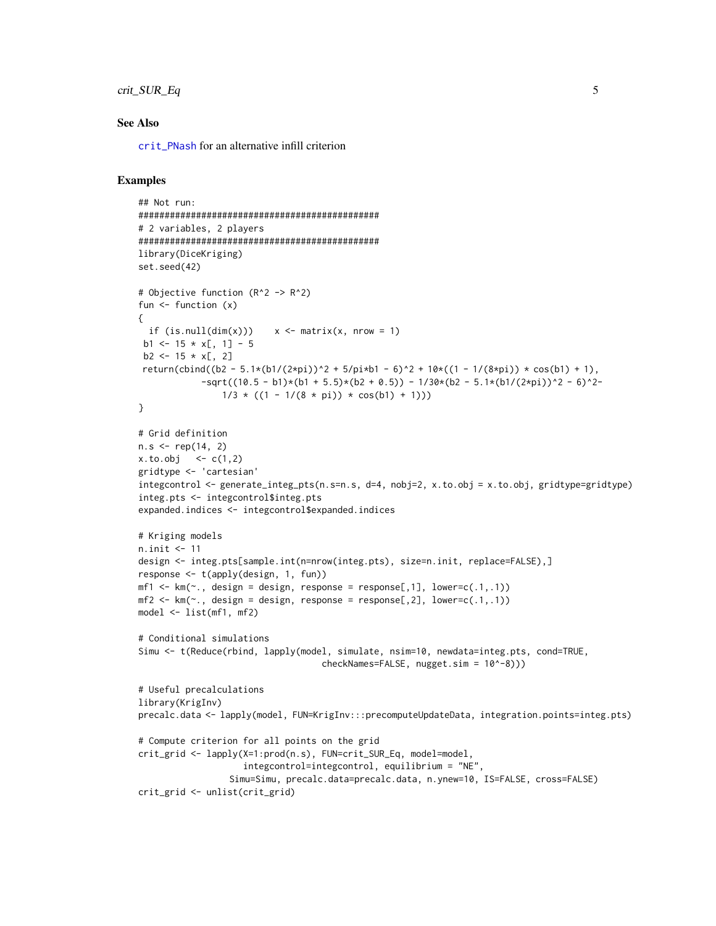# <span id="page-4-0"></span>crit\_SUR\_Eq 5

#### See Also

[crit\\_PNash](#page-1-1) for an alternative infill criterion

```
## Not run:
##############################################
# 2 variables, 2 players
##############################################
library(DiceKriging)
set.seed(42)
# Objective function (R^2 -> R^2)
fun \leq function (x){
  if (is.null(dim(x))) x \le matrix(x, nrow = 1)
 b1 <- 15 \times x[, 1] - 5
 b2 \le -15 \times x[, 2]return(cbind((b2 - 5.1*(b1/(2*pi))^2 + 5/pi*b1 - 6)^2 + 10*((1 - 1/(8*pi)) * cos(b1) + 1),
            -sqrt((10.5 - b1)*(b1 + 5.5)*(b2 + 0.5)) - 1/30*(b2 - 5.1*(b1/(2*pi))^2 - 6)^2-1/3 * ((1 - 1/(8 * pi)) * cos(b1) + 1))}
# Grid definition
n.s < - rep(14, 2)x. to. obj < -c(1,2)gridtype <- 'cartesian'
integral \leq - generate_integ_pts(n.s=n.s, d=4, nobj=2, x.to.obj = x.to.obj, gridtype=gridtype)
integ.pts <- integcontrol$integ.pts
expanded.indices <- integcontrol$expanded.indices
# Kriging models
n.init <- 11
design <- integ.pts[sample.int(n=nrow(integ.pts), size=n.init, replace=FALSE),]
response <- t(apply(design, 1, fun))
mf1 \leftarrow km(\sim ., design = design, response = response[, 1], lower=c(.1,.1))mf2 \leq km(\sim n, \text{ design} = \text{design}, \text{response} = \text{response}[0, 2], \text{lower}=(0.1, 0.1))model <- list(mf1, mf2)
# Conditional simulations
Simu <- t(Reduce(rbind, lapply(model, simulate, nsim=10, newdata=integ.pts, cond=TRUE,
                                     checkNames=FALSE, nugget.sim = 10^-8)))
# Useful precalculations
library(KrigInv)
precalc.data <- lapply(model, FUN=KrigInv:::precomputeUpdateData, integration.points=integ.pts)
# Compute criterion for all points on the grid
crit_grid <- lapply(X=1:prod(n.s), FUN=crit_SUR_Eq, model=model,
                     integcontrol=integcontrol, equilibrium = "NE",
                  Simu=Simu, precalc.data=precalc.data, n.ynew=10, IS=FALSE, cross=FALSE)
crit_grid <- unlist(crit_grid)
```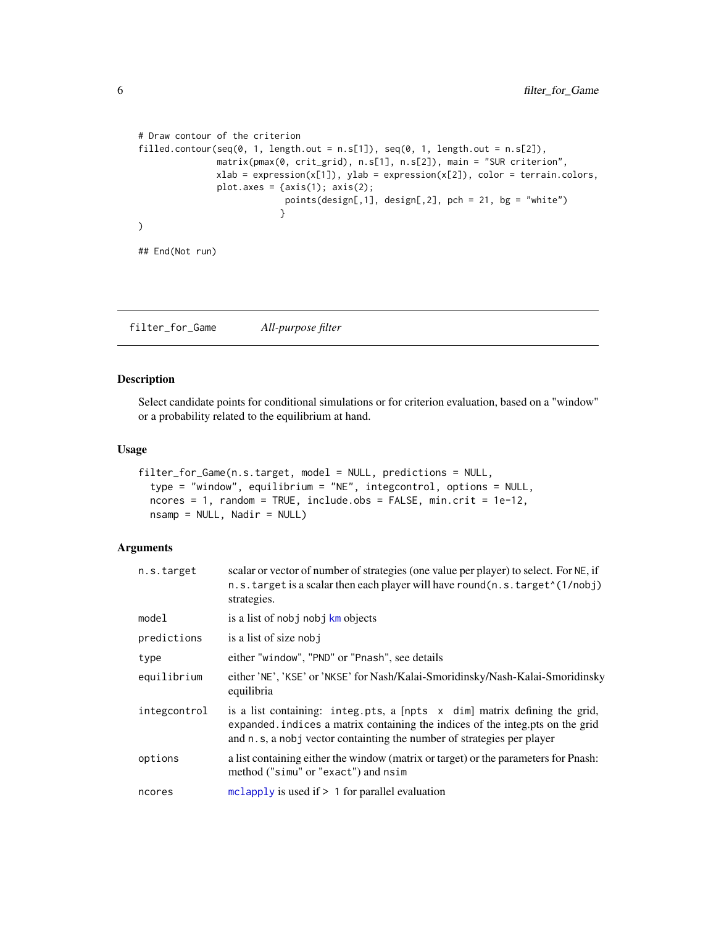```
# Draw contour of the criterion
filled.contour(seq(0, 1, length.out = n.s[1]), seq(0, 1, length.out = n.s[2]),
               matrix(pmax(0, crit_grid), n.s[1], n.s[2]), main = "SUR criterion",
               xlab = expression(x[1]), ylab = expression(x[2]), color = terrain.colors,
               plot.axes = \{axis(1); axis(2);points(design[,1], design[,2], pch = 21, bg = "white")
                           }
)
## End(Not run)
```
filter\_for\_Game *All-purpose filter*

# Description

Select candidate points for conditional simulations or for criterion evaluation, based on a "window" or a probability related to the equilibrium at hand.

# Usage

```
filter_for_Game(n.s.target, model = NULL, predictions = NULL,
  type = "window", equilibrium = "NE", integcontrol, options = NULL,
  ncores = 1, random = TRUE, include.obs = FALSE, min.crit = 1e-12,
  n\tan p = NULL, \nNadir = NULL)
```
# Arguments

| n.s.target   | scalar or vector of number of strategies (one value per player) to select. For NE, if<br>n.s. target is a scalar then each player will have round(n.s. target "(1/nobj)<br>strategies.                                                 |
|--------------|----------------------------------------------------------------------------------------------------------------------------------------------------------------------------------------------------------------------------------------|
| model        | is a list of nobj nobj km objects                                                                                                                                                                                                      |
| predictions  | is a list of size nobj                                                                                                                                                                                                                 |
| type         | either "window", "PND" or "Pnash", see details                                                                                                                                                                                         |
| equilibrium  | either 'NE', 'KSE' or 'NKSE' for Nash/Kalai-Smoridinsky/Nash-Kalai-Smoridinsky<br>equilibria                                                                                                                                           |
| integcontrol | is a list containing: integ.pts, a [npts x dim] matrix defining the grid,<br>expanded. indices a matrix containing the indices of the integ.pts on the grid<br>and n.s., a nobj vector containting the number of strategies per player |
| options      | a list containing either the window (matrix or target) or the parameters for Pnash:<br>method ("simu" or "exact") and nsim                                                                                                             |
| ncores       | $mclapply$ is used if $> 1$ for parallel evaluation                                                                                                                                                                                    |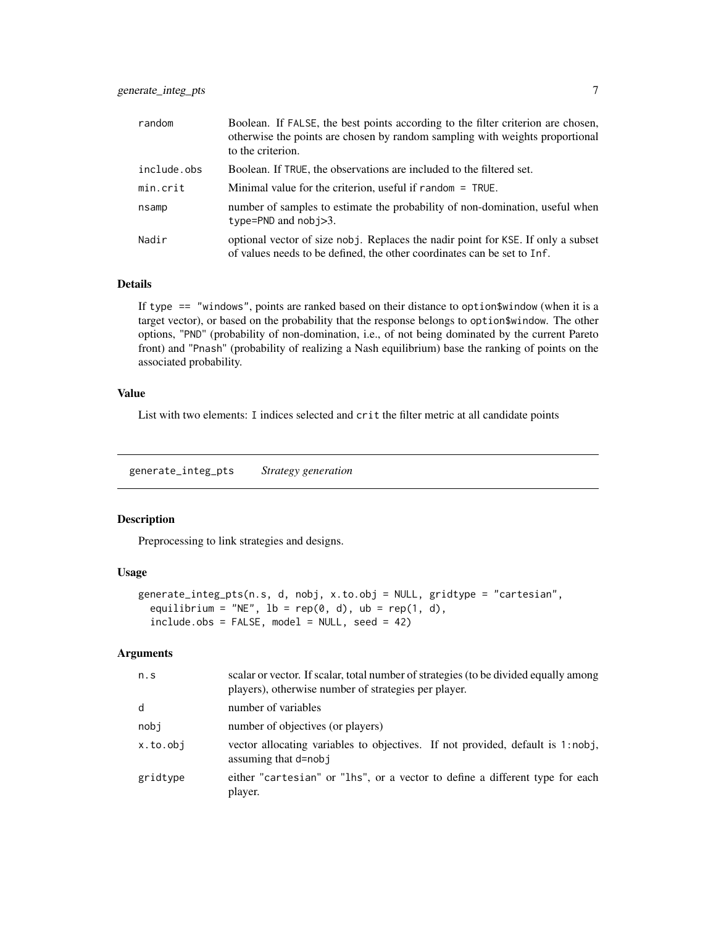<span id="page-6-0"></span>

| random      | Boolean. If FALSE, the best points according to the filter criterion are chosen,<br>otherwise the points are chosen by random sampling with weights proportional<br>to the criterion. |
|-------------|---------------------------------------------------------------------------------------------------------------------------------------------------------------------------------------|
| include.obs | Boolean. If TRUE, the observations are included to the filtered set.                                                                                                                  |
| min.crit    | Minimal value for the criterion, useful if random $=$ TRUE.                                                                                                                           |
| nsamp       | number of samples to estimate the probability of non-domination, useful when<br>type=PND and $nobi>3$ .                                                                               |
| Nadir       | optional vector of size nobj. Replaces the nadir point for KSE. If only a subset<br>of values needs to be defined, the other coordinates can be set to Inf.                           |

#### Details

If type == "windows", points are ranked based on their distance to option\$window (when it is a target vector), or based on the probability that the response belongs to option\$window. The other options, "PND" (probability of non-domination, i.e., of not being dominated by the current Pareto front) and "Pnash" (probability of realizing a Nash equilibrium) base the ranking of points on the associated probability.

# Value

List with two elements: I indices selected and crit the filter metric at all candidate points

<span id="page-6-1"></span>generate\_integ\_pts *Strategy generation*

# Description

Preprocessing to link strategies and designs.

### Usage

```
generate_integ_pts(n.s, d, nobj, x.to.obj = NULL, gridtype = "cartesian",
 equilibrium = "NE", 1b = rep(0, d), ub = rep(1, d),
  include. obs = FALSE, model = NULL, seed = 42)
```
# Arguments

| n.s      | scalar or vector. If scalar, total number of strategies (to be divided equally among<br>players), otherwise number of strategies per player. |
|----------|----------------------------------------------------------------------------------------------------------------------------------------------|
| d        | number of variables                                                                                                                          |
| nobi     | number of objectives (or players)                                                                                                            |
| x.to.obj | vector allocating variables to objectives. If not provided, default is 1:nobj,<br>assuming that d=nob i                                      |
| gridtype | either "cartesian" or "lhs", or a vector to define a different type for each<br>player.                                                      |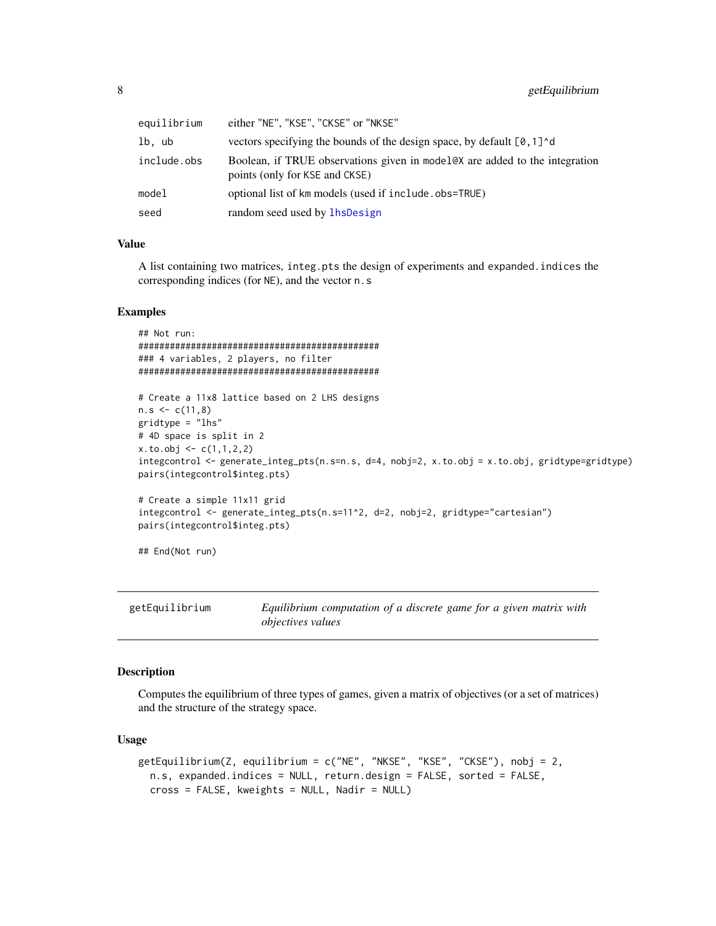<span id="page-7-0"></span>

| equilibrium | either "NE", "KSE", "CKSE" or "NKSE"                                                                           |
|-------------|----------------------------------------------------------------------------------------------------------------|
| lb, ub      | vectors specifying the bounds of the design space, by default [0,1] <sup>^</sup> d                             |
| include.obs | Boolean, if TRUE observations given in model ex are added to the integration<br>points (only for KSE and CKSE) |
| model       | optional list of km models (used if include . obs=TRUE)                                                        |
| seed        | random seed used by lhsDesign                                                                                  |
|             |                                                                                                                |

# Value

A list containing two matrices, integ.pts the design of experiments and expanded.indices the corresponding indices (for NE), and the vector n.s

#### Examples

## Not run: ############################################## ### 4 variables, 2 players, no filter ##############################################

```
# Create a 11x8 lattice based on 2 LHS designs
n.s < -c(11,8)gridtype = "lhs"
# 4D space is split in 2
x. to. obj < -c(1, 1, 2, 2)integcontrol <- generate_integ_pts(n.s=n.s, d=4, nobj=2, x.to.obj = x.to.obj, gridtype=gridtype)
pairs(integcontrol$integ.pts)
# Create a simple 11x11 grid
integcontrol <- generate_integ_pts(n.s=11^2, d=2, nobj=2, gridtype="cartesian")
```

```
pairs(integcontrol$integ.pts)
```
## End(Not run)

getEquilibrium *Equilibrium computation of a discrete game for a given matrix with objectives values*

#### Description

Computes the equilibrium of three types of games, given a matrix of objectives (or a set of matrices) and the structure of the strategy space.

#### Usage

```
getEquilibrium(Z, equilibrium = c("NE", "NKSE", "KSE", "CKSE"), nobj = 2,
  n.s, expanded.indices = NULL, return.design = FALSE, sorted = FALSE,
  cross = FALSE, kweights = NULL, Nadir = NULL)
```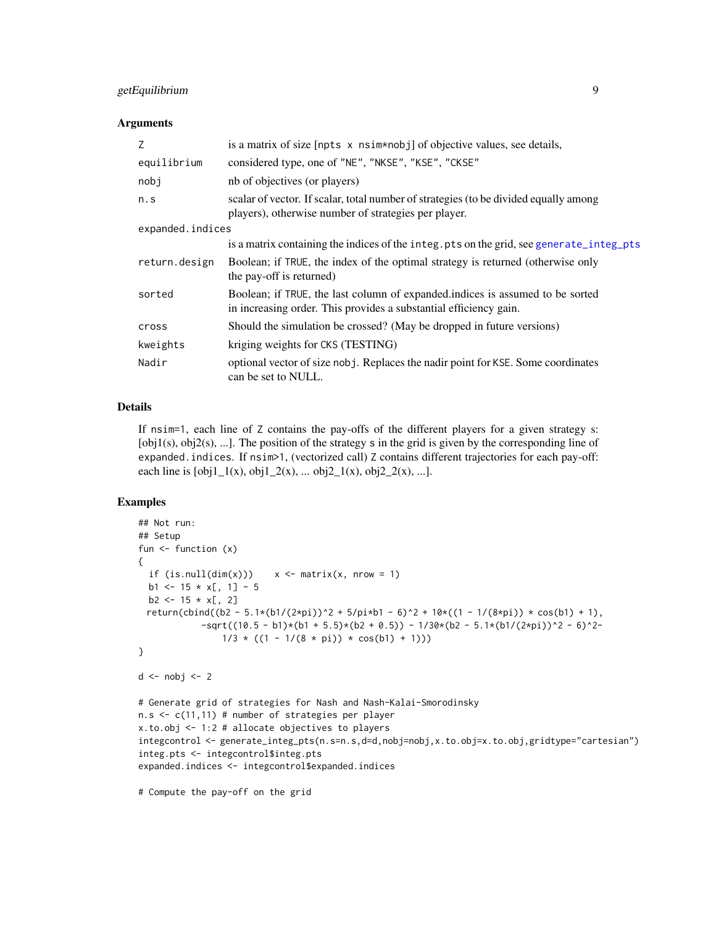# <span id="page-8-0"></span>getEquilibrium 9

#### **Arguments**

| Z                | is a matrix of size [npts x nsim*nobj] of objective values, see details,                                                                           |
|------------------|----------------------------------------------------------------------------------------------------------------------------------------------------|
| equilibrium      | considered type, one of "NE", "NKSE", "KSE", "CKSE"                                                                                                |
| nobj             | nb of objectives (or players)                                                                                                                      |
| n.S              | scalar of vector. If scalar, total number of strategies (to be divided equally among<br>players), otherwise number of strategies per player.       |
| expanded.indices |                                                                                                                                                    |
|                  | is a matrix containing the indices of the integ.pts on the grid, see generate_integ_pts                                                            |
| return.design    | Boolean; if TRUE, the index of the optimal strategy is returned (otherwise only<br>the pay-off is returned)                                        |
| sorted           | Boolean; if TRUE, the last column of expanded indices is assumed to be sorted<br>in increasing order. This provides a substantial efficiency gain. |
| cross            | Should the simulation be crossed? (May be dropped in future versions)                                                                              |
| kweights         | kriging weights for CKS (TESTING)                                                                                                                  |
| Nadir            | optional vector of size nobj. Replaces the nadir point for KSE. Some coordinates<br>can be set to NULL.                                            |

# Details

If nsim=1, each line of Z contains the pay-offs of the different players for a given strategy s: [obj1(s), obj2(s), ...]. The position of the strategy s in the grid is given by the corresponding line of expanded.indices. If nsim>1, (vectorized call) Z contains different trajectories for each pay-off: each line is  $[obj1_1(x), obj1_2(x), ... obj2_1(x), obj2_2(x), ...].$ 

# Examples

```
## Not run:
## Setup
fun <- function (x)
{
  if (is.null(dim(x)))  x \leq matrix(x, nrow = 1)b1 \le -15 \times x[, 1] - 5b2 \le -15 \times x[, 2]return(cbind((b2 - 5.1*(b1/(2*pi))^2 + 5/pi*b1 - 6)^2 + 10*((1 - 1/(8*pi)) * cos(b1) + 1),
            -sqrt((10.5 - b1)*(b1 + 5.5)*(b2 + 0.5)) - 1/30*(b2 - 5.1*(b1/(2*pi))^2 - 6)^2-1/3 * ((1 - 1/(8 * pi)) * cos(b1) + 1)))}
d \leftarrow nobj \leftarrow 2# Generate grid of strategies for Nash and Nash-Kalai-Smorodinsky
n.s < -c(11,11) # number of strategies per player
x.to.obj <- 1:2 # allocate objectives to players
integcontrol <- generate_integ_pts(n.s=n.s,d=d,nobj=nobj,x.to.obj=x.to.obj,gridtype="cartesian")
integ.pts <- integcontrol$integ.pts
expanded.indices <- integcontrol$expanded.indices
```
# Compute the pay-off on the grid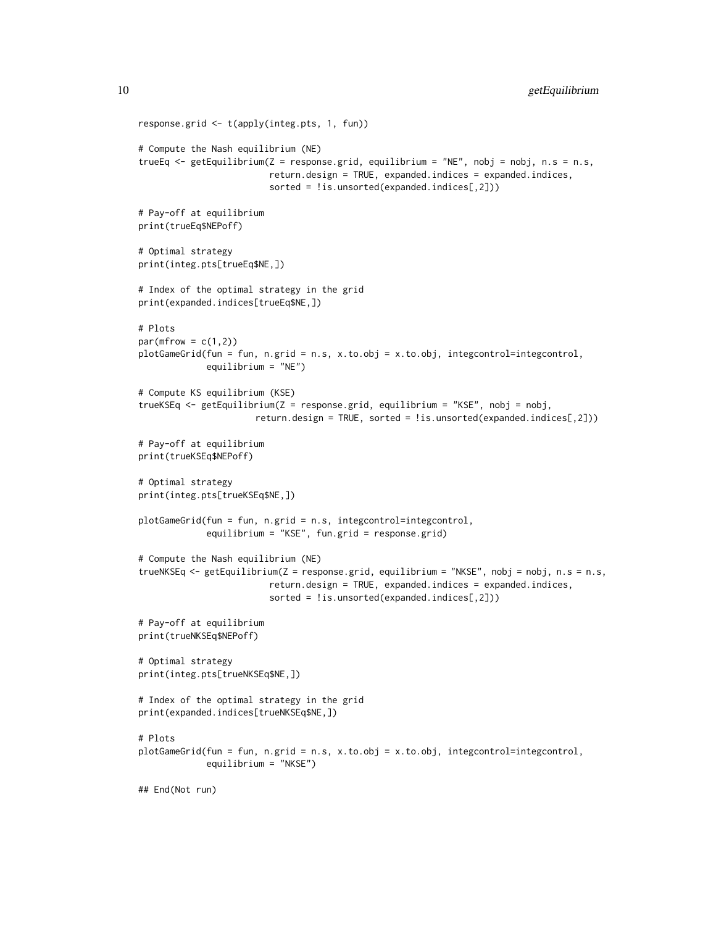```
response.grid <- t(apply(integ.pts, 1, fun))
# Compute the Nash equilibrium (NE)
trueEq <- getEquilibrium(Z = response.grid, equilibrium = "NE", nobj = nobj, n.s = n.s,
                         return.design = TRUE, expanded.indices = expanded.indices,
                         sorted = !is.unsorted(expanded.indices[,2]))
# Pay-off at equilibrium
print(trueEq$NEPoff)
# Optimal strategy
print(integ.pts[trueEq$NE,])
# Index of the optimal strategy in the grid
print(expanded.indices[trueEq$NE,])
# Plots
par(mfrow = c(1,2))plotGameGrid(fun = fun, n.grid = n.s, x.to.obj = x.to.obj, integcontrol=integcontrol,
             equilibrium = "NE")
# Compute KS equilibrium (KSE)
trueKSEq <- getEquilibrium(Z = response.grid, equilibrium = "KSE", nobj = nobj,
                      return.design = TRUE, sorted = !is.unsorted(expanded.indices[,2]))
# Pay-off at equilibrium
print(trueKSEq$NEPoff)
# Optimal strategy
print(integ.pts[trueKSEq$NE,])
plotGameGrid(fun = fun, n.grid = n.s, integcontrol=integcontrol,
             equilibrium = "KSE", fun.grid = response.grid)
# Compute the Nash equilibrium (NE)
trueNKSEq <- getEquilibrium(Z = response.grid, equilibrium = "NKSE", nobj = nobj, n.s = n.s,
                         return.design = TRUE, expanded.indices = expanded.indices,
                         sorted = !is.unsorted(expanded.indices[,2]))
# Pay-off at equilibrium
print(trueNKSEq$NEPoff)
# Optimal strategy
print(integ.pts[trueNKSEq$NE,])
# Index of the optimal strategy in the grid
print(expanded.indices[trueNKSEq$NE,])
# Plots
plotGameGrid(fun = fun, n.grid = n.s, x.to.obj = x.to.obj, integcontrol=integcontrol,
             equilibrium = "NKSE")
## End(Not run)
```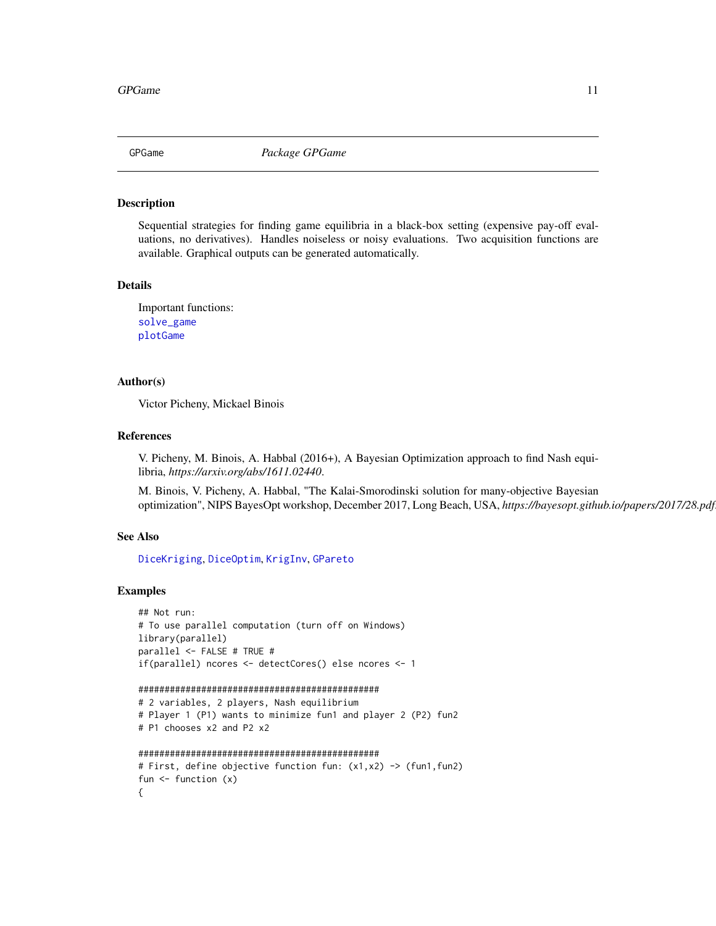<span id="page-10-0"></span>

#### Description

Sequential strategies for finding game equilibria in a black-box setting (expensive pay-off evaluations, no derivatives). Handles noiseless or noisy evaluations. Two acquisition functions are available. Graphical outputs can be generated automatically.

#### Details

Important functions: [solve\\_game](#page-16-1) [plotGame](#page-13-1)

#### Author(s)

Victor Picheny, Mickael Binois

#### References

V. Picheny, M. Binois, A. Habbal (2016+), A Bayesian Optimization approach to find Nash equilibria, *https://arxiv.org/abs/1611.02440*.

M. Binois, V. Picheny, A. Habbal, "The Kalai-Smorodinski solution for many-objective Bayesian optimization", NIPS BayesOpt workshop, December 2017, Long Beach, USA, *https://bayesopt.github.io/papers/2017/28.pdf*.

#### See Also

[DiceKriging](#page-0-0), [DiceOptim](#page-0-0), [KrigInv](#page-0-0), [GPareto](#page-0-0)

```
## Not run:
# To use parallel computation (turn off on Windows)
library(parallel)
parallel <- FALSE # TRUE #
if(parallel) ncores <- detectCores() else ncores <- 1
```

```
##############################################
# 2 variables, 2 players, Nash equilibrium
# Player 1 (P1) wants to minimize fun1 and player 2 (P2) fun2
# P1 chooses x2 and P2 x2
##############################################
# First, define objective function fun: (x1,x2) -> (fun1,fun2)
```

```
fun <- function (x)
{
```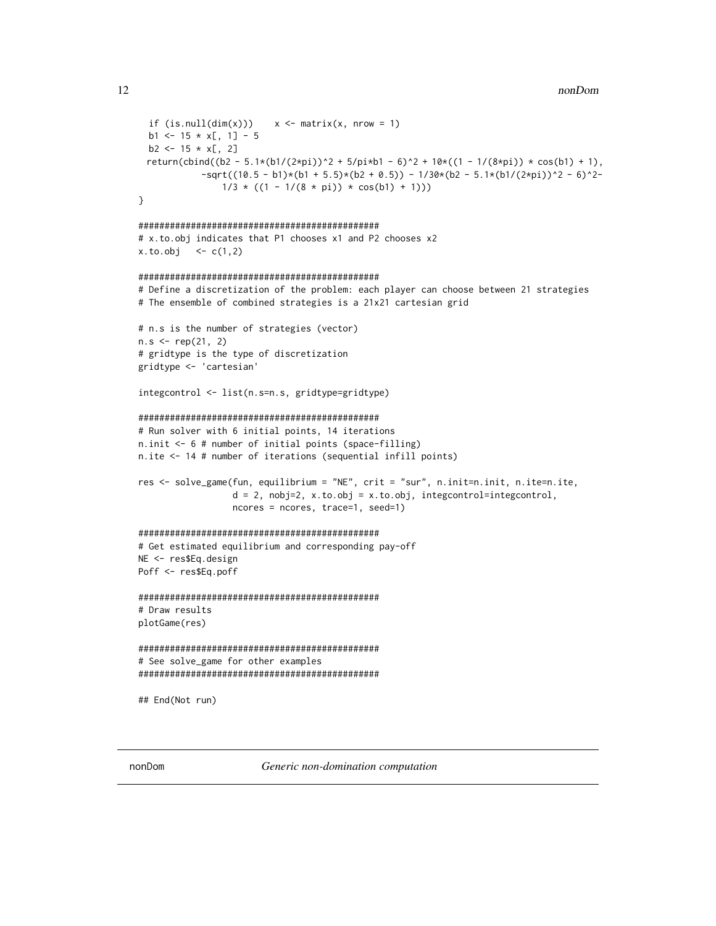```
if (is.null(dim(x)))  x \leq matrix(x, nrow = 1)b1 \le -15 \times x[, 1] - 5b2 \le -15 \times x[, 2]return(cbind((b2 - 5.1*(b1/(2*pi))^2 + 5/pi*b1 - 6)^2 + 10*((1 - 1/(8*pi)) * cos(b1) + 1),
            -sqrt((10.5 - b1)*(b1 + 5.5)*(b2 + 0.5)) - 1/30*(b2 - 5.1*(b1/(2*pi))^2 - 6)^2-1/3 * ((1 - 1/(8 * pi)) * cos(b1) + 1)))}
##############################################
# x.to.obj indicates that P1 chooses x1 and P2 chooses x2
x. to. obj < -c(1, 2)##############################################
# Define a discretization of the problem: each player can choose between 21 strategies
# The ensemble of combined strategies is a 21x21 cartesian grid
# n.s is the number of strategies (vector)
n.s < - rep(21, 2)# gridtype is the type of discretization
gridtype <- 'cartesian'
integcontrol <- list(n.s=n.s, gridtype=gridtype)
##############################################
# Run solver with 6 initial points, 14 iterations
n.init <- 6 # number of initial points (space-filling)
n.ite <- 14 # number of iterations (sequential infill points)
res <- solve_game(fun, equilibrium = "NE", crit = "sur", n.init=n.init, n.ite=n.ite,
                  d = 2, nobj=2, x.to.obj = x.to.obj, integcontrol=integcontrol,
                  ncores = ncores, trace=1, seed=1)
##############################################
# Get estimated equilibrium and corresponding pay-off
NE <- res$Eq.design
Poff <- res$Eq.poff
##############################################
# Draw results
plotGame(res)
##############################################
# See solve_game for other examples
##############################################
## End(Not run)
```
nonDom *Generic non-domination computation*

<span id="page-11-0"></span>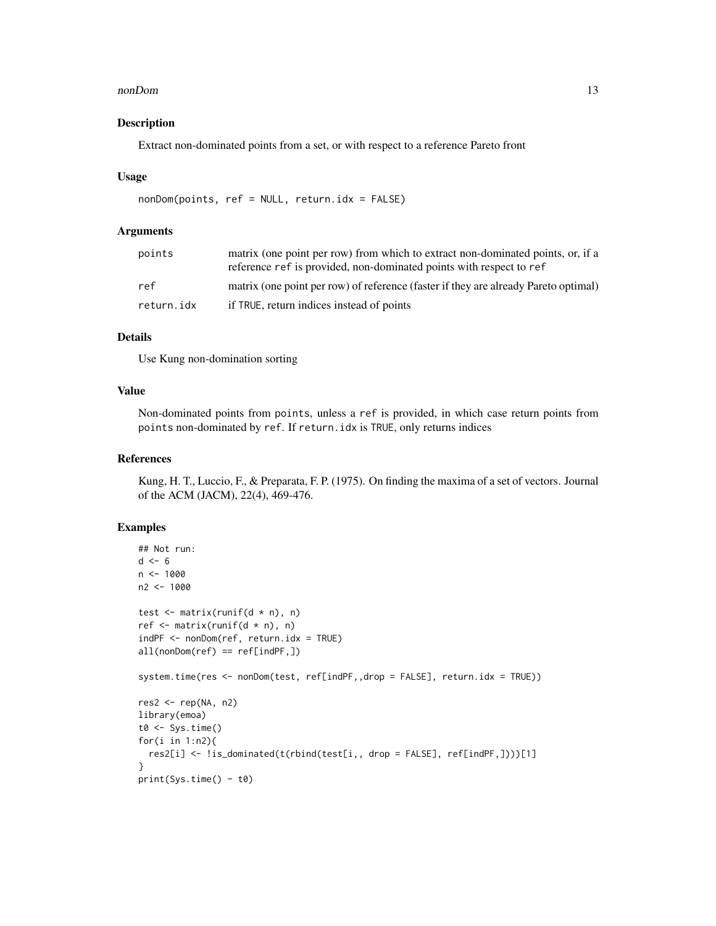#### nonDom and the state of the state of the state of the state of the state of the state of the state of the state of the state of the state of the state of the state of the state of the state of the state of the state of the

#### Description

Extract non-dominated points from a set, or with respect to a reference Pareto front

#### Usage

```
nonDom(points, ref = NULL, return.idx = FALSE)
```
# Arguments

| points     | matrix (one point per row) from which to extract non-dominated points, or, if a<br>reference ref is provided, non-dominated points with respect to ref |
|------------|--------------------------------------------------------------------------------------------------------------------------------------------------------|
| ref        | matrix (one point per row) of reference (faster if they are already Pareto optimal)                                                                    |
| return.idx | if TRUE, return indices instead of points                                                                                                              |

# Details

Use Kung non-domination sorting

#### Value

Non-dominated points from points, unless a ref is provided, in which case return points from points non-dominated by ref. If return.idx is TRUE, only returns indices

#### References

Kung, H. T., Luccio, F., & Preparata, F. P. (1975). On finding the maxima of a set of vectors. Journal of the ACM (JACM), 22(4), 469-476.

```
## Not run:
d \le -6n < -1000n2 <- 1000
test \leq matrix(runif(d * n), n)
ref \leq matrix(runif(d * n), n)
indPF <- nonDom(ref, return.idx = TRUE)
all(nonDom(ref) == ref[indPF,])system.time(res <- nonDom(test, ref[indPF,,drop = FALSE], return.idx = TRUE))
res2 \leq rep(NA, n2)library(emoa)
t0 \leq Sys.time()
for(i in 1:n2){
  res2[i] <- !is_dominated(t(rbind(test[i,, drop = FALSE], ref[indPF,])))[1]
}
print(Sys.time() - t0)
```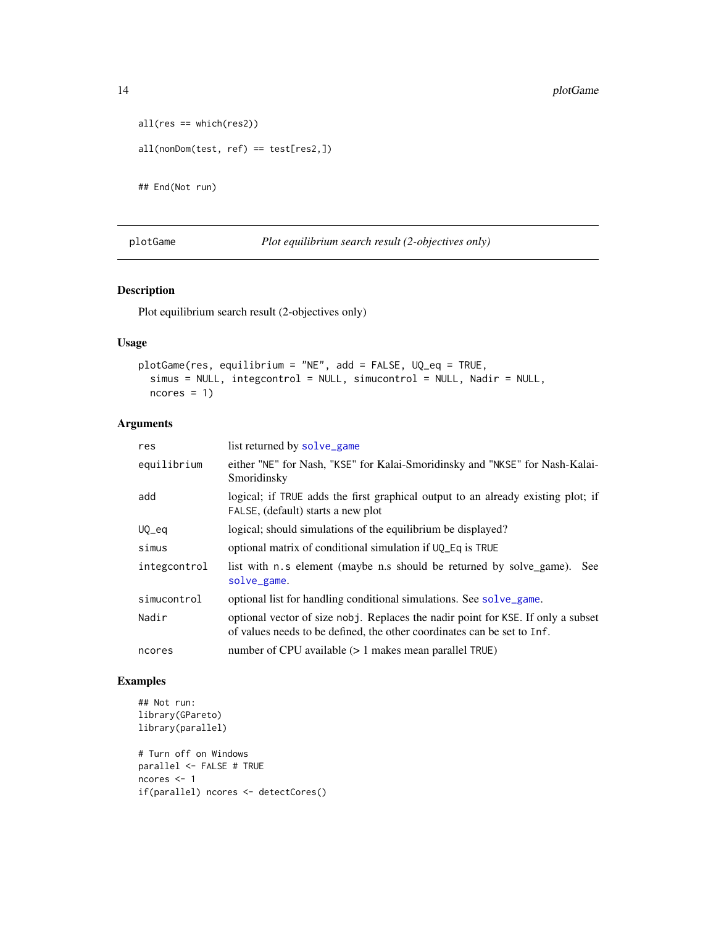```
all(res == which(res2))all(nonDom(test, ref) == test[res2,])
```
## End(Not run)

<span id="page-13-1"></span>plotGame *Plot equilibrium search result (2-objectives only)*

# Description

Plot equilibrium search result (2-objectives only)

# Usage

```
plotGame(res, equilibrium = "NE", add = FALSE, UQ_eq = TRUE,
  simus = NULL, integcontrol = NULL, simucontrol = NULL, Nadir = NULL,
 ncores = 1
```
# Arguments

| res          | list returned by solve_game                                                                                                                                 |
|--------------|-------------------------------------------------------------------------------------------------------------------------------------------------------------|
| equilibrium  | either "NE" for Nash, "KSE" for Kalai-Smoridinsky and "NKSE" for Nash-Kalai-<br>Smoridinsky                                                                 |
| add          | logical; if TRUE adds the first graphical output to an already existing plot; if<br>FALSE, (default) starts a new plot                                      |
| $UQ$ $eq$    | logical; should simulations of the equilibrium be displayed?                                                                                                |
| simus        | optional matrix of conditional simulation if UQ_Eq is TRUE                                                                                                  |
| integcontrol | list with n.s element (maybe n.s should be returned by solve_game).<br>See:<br>solve_game.                                                                  |
| simucontrol  | optional list for handling conditional simulations. See solve_game.                                                                                         |
| Nadir        | optional vector of size nobj. Replaces the nadir point for KSE. If only a subset<br>of values needs to be defined, the other coordinates can be set to Inf. |
| ncores       | number of CPU available $(> 1$ makes mean parallel TRUE)                                                                                                    |

```
## Not run:
library(GPareto)
library(parallel)
# Turn off on Windows
parallel <- FALSE # TRUE
ncores <- 1
if(parallel) ncores <- detectCores()
```
<span id="page-13-0"></span>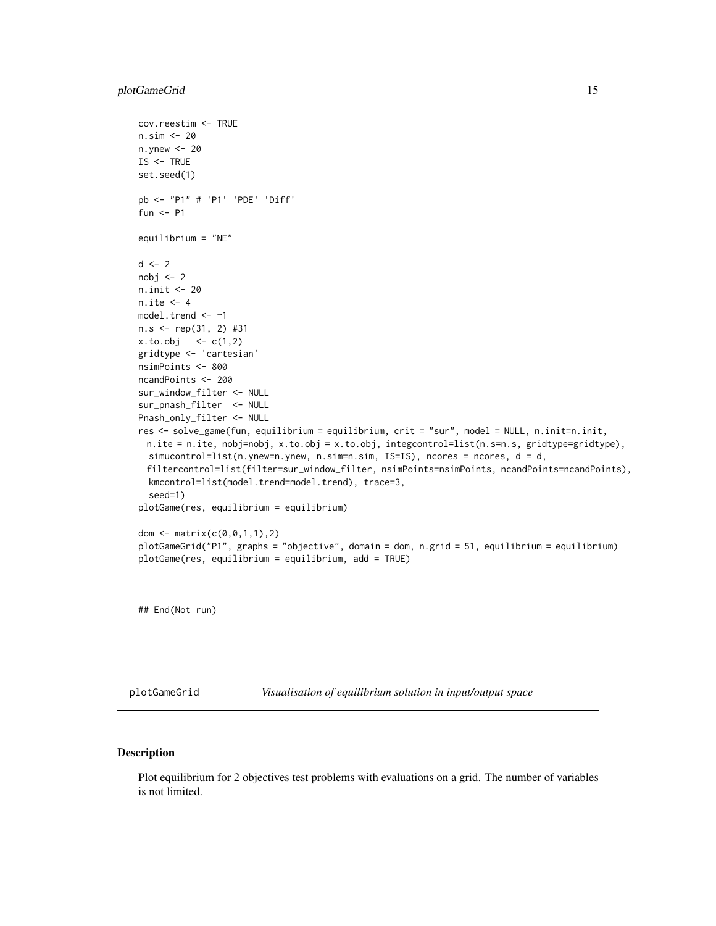## <span id="page-14-0"></span>plotGameGrid 15

```
cov.reestim <- TRUE
n.sim <- 20
n.ynew <- 20
IS <- TRUE
set.seed(1)
pb <- "P1" # 'P1' 'PDE' 'Diff'
fun <- P1
equilibrium = "NE"
d \le -2nobj \leq 2n.init <- 20
n.ite <- 4
model.trend <- ~1
n.s <- rep(31, 2) #31
x. to. obj < -c(1,2)gridtype <- 'cartesian'
nsimPoints <- 800
ncandPoints <- 200
sur_window_filter <- NULL
sur_pnash_filter <- NULL
Pnash_only_filter <- NULL
res <- solve_game(fun, equilibrium = equilibrium, crit = "sur", model = NULL, n.init=n.init,
 n.ite = n.ite, nobj=nobj, x.to.obj = x.to.obj, integcontrol=list(n.s=n.s, gridtype=gridtype),
  simucontrol=list(n.ynew=n.ynew, n.sim=n.sim, IS=IS), ncores = ncores, d = d,
 filtercontrol=list(filter=sur_window_filter, nsimPoints=nsimPoints, ncandPoints=ncandPoints),
  kmcontrol=list(model.trend=model.trend), trace=3,
  seed=1)
plotGame(res, equilibrium = equilibrium)
dom <- matrix(c(0,0,1,1),2)
plotGameGrid("P1", graphs = "objective", domain = dom, n.grid = 51, equilibrium = equilibrium)
plotGame(res, equilibrium = equilibrium, add = TRUE)
```
## End(Not run)

plotGameGrid *Visualisation of equilibrium solution in input/output space*

#### Description

Plot equilibrium for 2 objectives test problems with evaluations on a grid. The number of variables is not limited.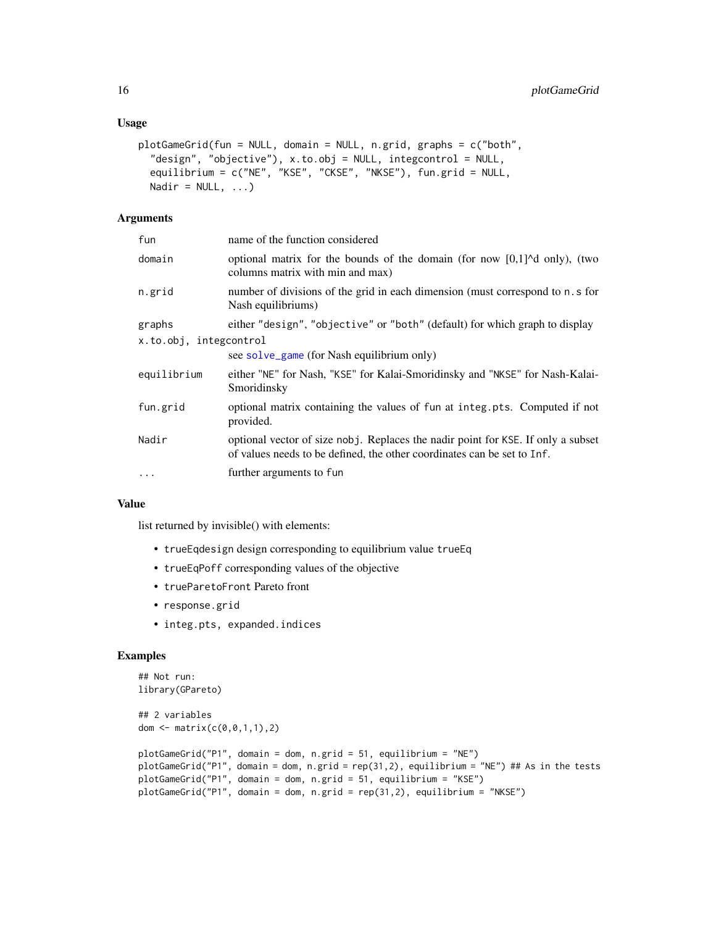```
plotGameGrid(fun = NULL, domain = NULL, n.grid, graphs = c("both",
  "design", "objective"), x.to.obj = NULL, integcontrol = NULL,
  equilibrium = c("NE", "KSE", "CKSE", "NKSE"), fun.grid = NULL,
 Nadir = NULL, ...)
```
# Arguments

| fun                    | name of the function considered                                                                                                                             |
|------------------------|-------------------------------------------------------------------------------------------------------------------------------------------------------------|
| domain                 | optional matrix for the bounds of the domain (for now $[0,1]$ <sup><math>\wedge</math></sup> d only), (two<br>columns matrix with min and max)              |
| n.grid                 | number of divisions of the grid in each dimension (must correspond to n.s for<br>Nash equilibriums)                                                         |
| graphs                 | either "design", "objective" or "both" (default) for which graph to display                                                                                 |
| x.to.obj, integcontrol |                                                                                                                                                             |
|                        | see solve_game (for Nash equilibrium only)                                                                                                                  |
| equilibrium            | either "NE" for Nash, "KSE" for Kalai-Smoridinsky and "NKSE" for Nash-Kalai-<br>Smoridinsky                                                                 |
| fun.grid               | optional matrix containing the values of fun at integ.pts. Computed if not<br>provided.                                                                     |
| Nadir                  | optional vector of size nobj. Replaces the nadir point for KSE. If only a subset<br>of values needs to be defined, the other coordinates can be set to Inf. |
| $\cdots$               | further arguments to fun                                                                                                                                    |
|                        |                                                                                                                                                             |

#### Value

list returned by invisible() with elements:

- trueEqdesign design corresponding to equilibrium value trueEq
- trueEqPoff corresponding values of the objective
- trueParetoFront Pareto front
- response.grid
- integ.pts, expanded.indices

```
## Not run:
library(GPareto)
## 2 variables
dom <- matrix(c(0, 0, 1, 1), 2)plotGameGrid("P1", domain = dom, n.grid = 51, equilibrium = "NE")
plotGameGrid("P1", domain = dom, n.grid = rep(31,2), equilibrium = "NE") ## As in the tests
plotGameGrid("P1", domain = dom, n.grid = 51, equilibrium = "KSE")
plotGameGrid("P1", domain = dom, n.grid = rep(31,2), equilibrium = "NKSE")
```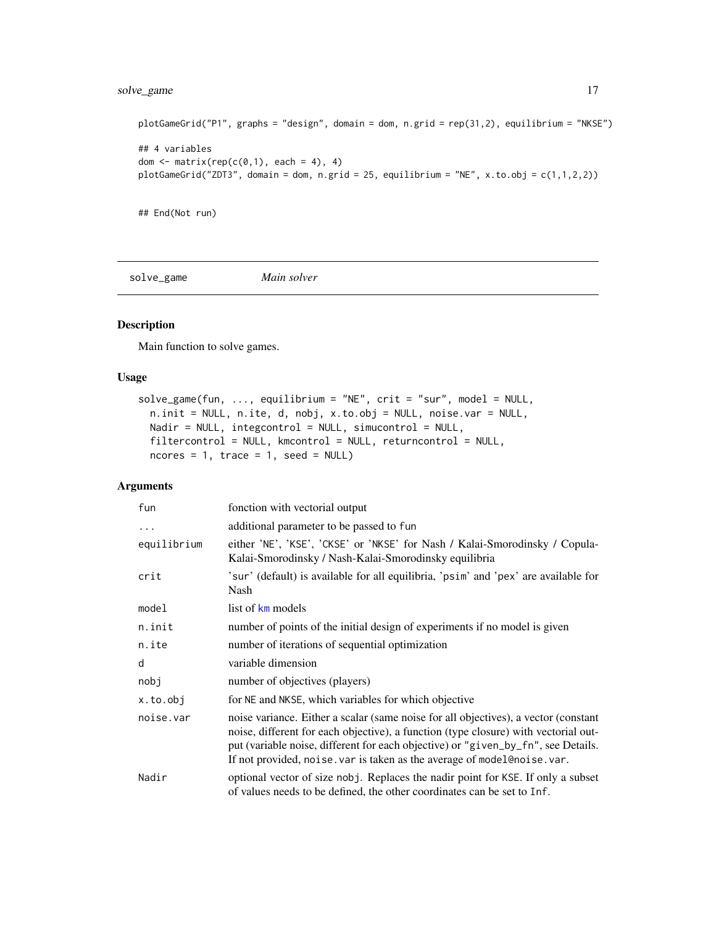# <span id="page-16-0"></span>solve\_game 17

```
plotGameGrid("P1", graphs = "design", domain = dom, n.grid = rep(31,2), equilibrium = "NKSE")
## 4 variables
dom \leq matrix(rep(c(0,1), each = 4), 4)
plotGameGrid("ZDT3", domain = dom, n.grid = 25, equilibrium = "NE", x.to.obj = c(1,1,2,2))
```
## End(Not run)

<span id="page-16-1"></span>solve\_game *Main solver*

### Description

Main function to solve games.

#### Usage

```
solve_game(fun, ..., equilibrium = "NE", crit = "sur", model = NULL,
 n.init = NULL, n.ite, d, nobj, x.to.obj = NULL, noise.var = NULL,
 Nadir = NULL, integcontrol = NULL, simucontrol = NULL,
 filtercontrol = NULL, kmcontrol = NULL, returncontrol = NULL,
 ncores = 1, trace = 1, seed = NULL)
```
# Arguments

| fun         | fonction with vectorial output                                                                                                                                                                                                                                                                                                              |
|-------------|---------------------------------------------------------------------------------------------------------------------------------------------------------------------------------------------------------------------------------------------------------------------------------------------------------------------------------------------|
| $\cdots$    | additional parameter to be passed to fun                                                                                                                                                                                                                                                                                                    |
| equilibrium | either 'NE', 'KSE', 'CKSE' or 'NKSE' for Nash / Kalai-Smorodinsky / Copula-<br>Kalai-Smorodinsky / Nash-Kalai-Smorodinsky equilibria                                                                                                                                                                                                        |
| crit        | 'sur' (default) is available for all equilibria, 'psim' and 'pex' are available for<br>Nash                                                                                                                                                                                                                                                 |
| model       | list of km models                                                                                                                                                                                                                                                                                                                           |
| n.init      | number of points of the initial design of experiments if no model is given                                                                                                                                                                                                                                                                  |
| n.ite       | number of iterations of sequential optimization                                                                                                                                                                                                                                                                                             |
| d           | variable dimension                                                                                                                                                                                                                                                                                                                          |
| nobj        | number of objectives (players)                                                                                                                                                                                                                                                                                                              |
| x.to.obj    | for NE and NKSE, which variables for which objective                                                                                                                                                                                                                                                                                        |
| noise.var   | noise variance. Either a scalar (same noise for all objectives), a vector (constant<br>noise, different for each objective), a function (type closure) with vectorial out-<br>put (variable noise, different for each objective) or "given_by_fn", see Details.<br>If not provided, noise. var is taken as the average of model@noise. var. |
| Nadir       | optional vector of size nobj. Replaces the nadir point for KSE. If only a subset<br>of values needs to be defined, the other coordinates can be set to Inf.                                                                                                                                                                                 |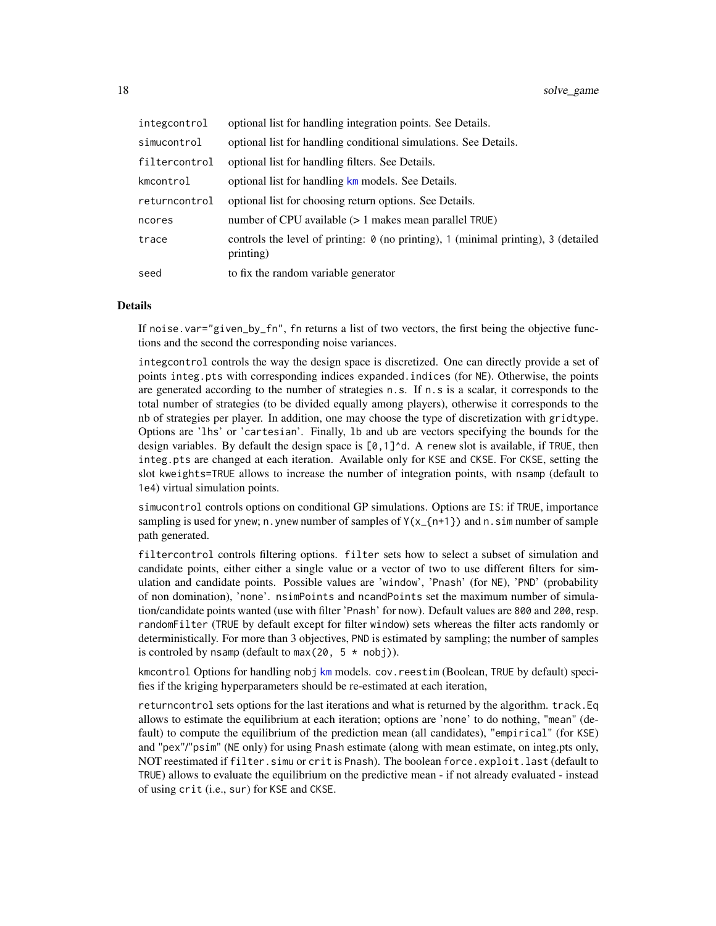| integcontrol  | optional list for handling integration points. See Details.                                            |
|---------------|--------------------------------------------------------------------------------------------------------|
| simucontrol   | optional list for handling conditional simulations. See Details.                                       |
| filtercontrol | optional list for handling filters. See Details.                                                       |
| kmcontrol     | optional list for handling km models. See Details.                                                     |
| returncontrol | optional list for choosing return options. See Details.                                                |
| ncores        | number of CPU available $(>1$ makes mean parallel TRUE)                                                |
| trace         | controls the level of printing: $\theta$ (no printing), 1 (minimal printing), 3 (detailed<br>printing) |
| seed          | to fix the random variable generator                                                                   |

#### **Details**

If noise.var="given\_by\_fn", fn returns a list of two vectors, the first being the objective functions and the second the corresponding noise variances.

integcontrol controls the way the design space is discretized. One can directly provide a set of points integ.pts with corresponding indices expanded.indices (for NE). Otherwise, the points are generated according to the number of strategies n.s. If n.s is a scalar, it corresponds to the total number of strategies (to be divided equally among players), otherwise it corresponds to the nb of strategies per player. In addition, one may choose the type of discretization with gridtype. Options are 'lhs' or 'cartesian'. Finally, lb and ub are vectors specifying the bounds for the design variables. By default the design space is  $[0,1]$ <sup> $\land$ </sup>d. A renew slot is available, if TRUE, then integ.pts are changed at each iteration. Available only for KSE and CKSE. For CKSE, setting the slot kweights=TRUE allows to increase the number of integration points, with nsamp (default to 1e4) virtual simulation points.

simucontrol controls options on conditional GP simulations. Options are IS: if TRUE, importance sampling is used for ynew; n. ynew number of samples of  $Y(x_{-1}n+1)$  and n. sim number of sample path generated.

filtercontrol controls filtering options. filter sets how to select a subset of simulation and candidate points, either either a single value or a vector of two to use different filters for simulation and candidate points. Possible values are 'window', 'Pnash' (for NE), 'PND' (probability of non domination), 'none'. nsimPoints and ncandPoints set the maximum number of simulation/candidate points wanted (use with filter 'Pnash' for now). Default values are 800 and 200, resp. randomFilter (TRUE by default except for filter window) sets whereas the filter acts randomly or deterministically. For more than 3 objectives, PND is estimated by sampling; the number of samples is controled by nsamp (default to max(20,  $5 * \text{nobi}$ )).

[km](#page-0-0)control Options for handling nobj km models. cov. reestim (Boolean, TRUE by default) specifies if the kriging hyperparameters should be re-estimated at each iteration,

returncontrol sets options for the last iterations and what is returned by the algorithm. track.Eq allows to estimate the equilibrium at each iteration; options are 'none' to do nothing, "mean" (default) to compute the equilibrium of the prediction mean (all candidates), "empirical" (for KSE) and "pex"/"psim" (NE only) for using Pnash estimate (along with mean estimate, on integ.pts only, NOT reestimated if filter.simu or crit is Pnash). The boolean force.exploit.last (default to TRUE) allows to evaluate the equilibrium on the predictive mean - if not already evaluated - instead of using crit (i.e., sur) for KSE and CKSE.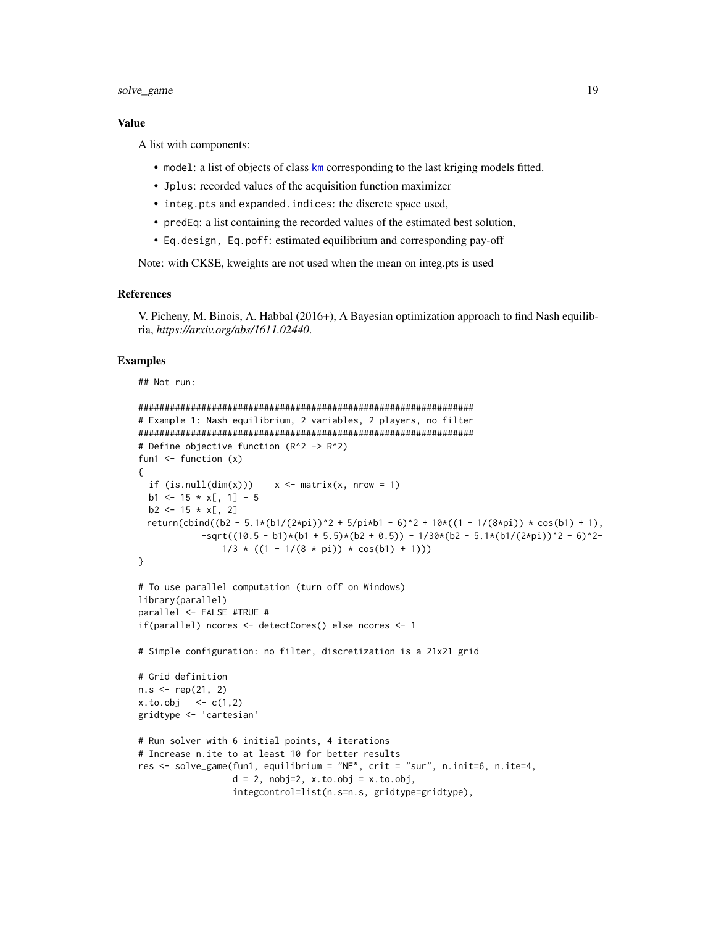# <span id="page-18-0"></span>solve\_game 19

#### Value

A list with components:

- model: a list of objects of class [km](#page-0-0) corresponding to the last kriging models fitted.
- Jplus: recorded values of the acquisition function maximizer
- integ.pts and expanded.indices: the discrete space used,
- predEq: a list containing the recorded values of the estimated best solution,
- Eq.design, Eq.poff: estimated equilibrium and corresponding pay-off

Note: with CKSE, kweights are not used when the mean on integ.pts is used

# References

V. Picheny, M. Binois, A. Habbal (2016+), A Bayesian optimization approach to find Nash equilibria, *https://arxiv.org/abs/1611.02440*.

```
## Not run:
```

```
################################################################
# Example 1: Nash equilibrium, 2 variables, 2 players, no filter
################################################################
# Define objective function (R^2 -> R^2)
fun1 \leftarrow function (x){
 if (is.null(dim(x))) x \leftarrow matrix(x, nrow = 1)
 b1 <- 15 \times x[, 1] - 5
 b2 \le -15 \times x[, 2]return(cbind((b2 - 5.1*(b1/(2*pi))^2 + 5/pi*b1 - 6)^2 + 10*((1 - 1/(8*pi)) * cos(b1) + 1),
            -sqrt((10.5 - b1)*(b1 + 5.5)*(b2 + 0.5)) - 1/30*(b2 - 5.1*(b1/(2*pi))^2 - 6)^2-1/3 * ((1 - 1/(8 * pi)) * cos(b1) + 1))}
# To use parallel computation (turn off on Windows)
library(parallel)
parallel <- FALSE #TRUE #
if(parallel) ncores <- detectCores() else ncores <- 1
# Simple configuration: no filter, discretization is a 21x21 grid
# Grid definition
n.s < - rep(21, 2)x. to. obj < -c(1, 2)gridtype <- 'cartesian'
# Run solver with 6 initial points, 4 iterations
# Increase n.ite to at least 10 for better results
res <- solve_game(fun1, equilibrium = "NE", crit = "sur", n.init=6, n.ite=4,
                  d = 2, nobj=2, x.to.obj = x.to.obj,
                  integcontrol=list(n.s=n.s, gridtype=gridtype),
```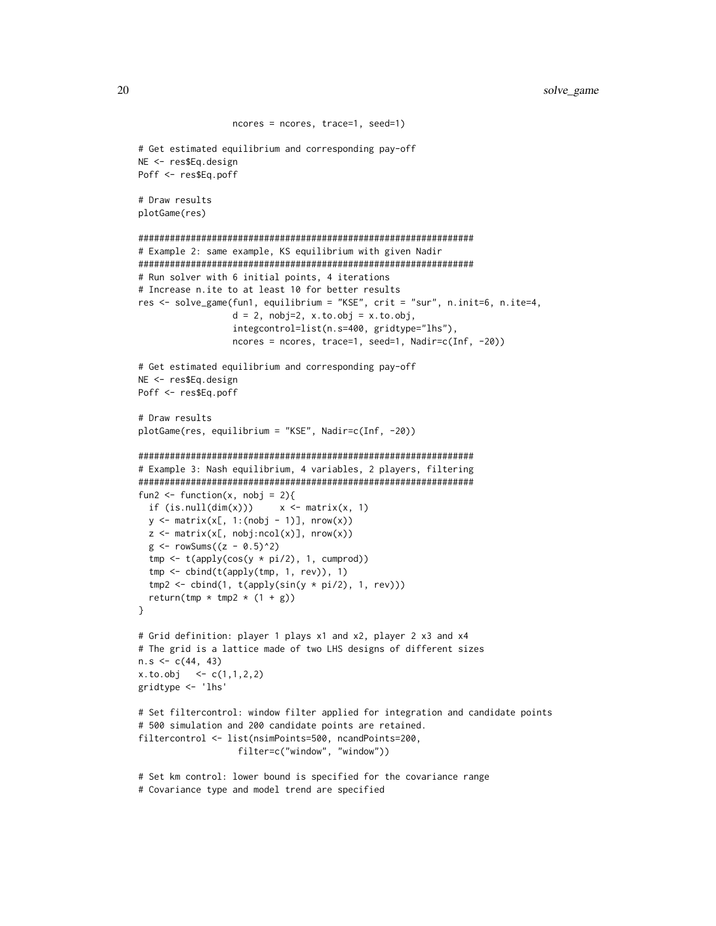```
ncores = ncores, trace=1, seed=1)
# Get estimated equilibrium and corresponding pay-off
NE <- res$Eq.design
Poff <- res$Eq.poff
# Draw results
plotGame(res)
################################################################
# Example 2: same example, KS equilibrium with given Nadir
################################################################
# Run solver with 6 initial points, 4 iterations
# Increase n.ite to at least 10 for better results
res <- solve_game(fun1, equilibrium = "KSE", crit = "sur", n.init=6, n.ite=4,
                  d = 2, nobj=2, x.to.obj = x.to.obj,
                  integcontrol=list(n.s=400, gridtype="lhs"),
                  ncores = ncores, trace=1, seed=1, Nadir=c(Inf, -20))
# Get estimated equilibrium and corresponding pay-off
NE <- res$Eq.design
Poff <- res$Eq.poff
# Draw results
plotGame(res, equilibrium = "KSE", Nadir=c(Inf, -20))
################################################################
# Example 3: Nash equilibrium, 4 variables, 2 players, filtering
################################################################
fun2 <- function(x, nobj = 2){
  if (is.null(dim(x)))  x \leftarrow matrix(x, 1)y \leftarrow matrix(x[, 1:(nobj - 1)], nrow(x))
  z \le matrix(x[, nobj:ncol(x)], nrow(x))
  g \leftarrow rowSums((z - 0.5)^2)tmp \leftarrow t(apoly(cos(y * pi/2), 1, cumprod))tmp <- cbind(t(apply(tmp, 1, rev)), 1)
  tmp2 < - child(1, t(aply(sin(y * pi/2), 1, rev)))return(tmp * tmp2 * (1 + g))
}
# Grid definition: player 1 plays x1 and x2, player 2 x3 and x4
# The grid is a lattice made of two LHS designs of different sizes
n.s < -c(44, 43)x. to. obj <- c(1,1,2,2)gridtype <- 'lhs'
# Set filtercontrol: window filter applied for integration and candidate points
# 500 simulation and 200 candidate points are retained.
filtercontrol <- list(nsimPoints=500, ncandPoints=200,
                   filter=c("window", "window"))
# Set km control: lower bound is specified for the covariance range
```

```
# Covariance type and model trend are specified
```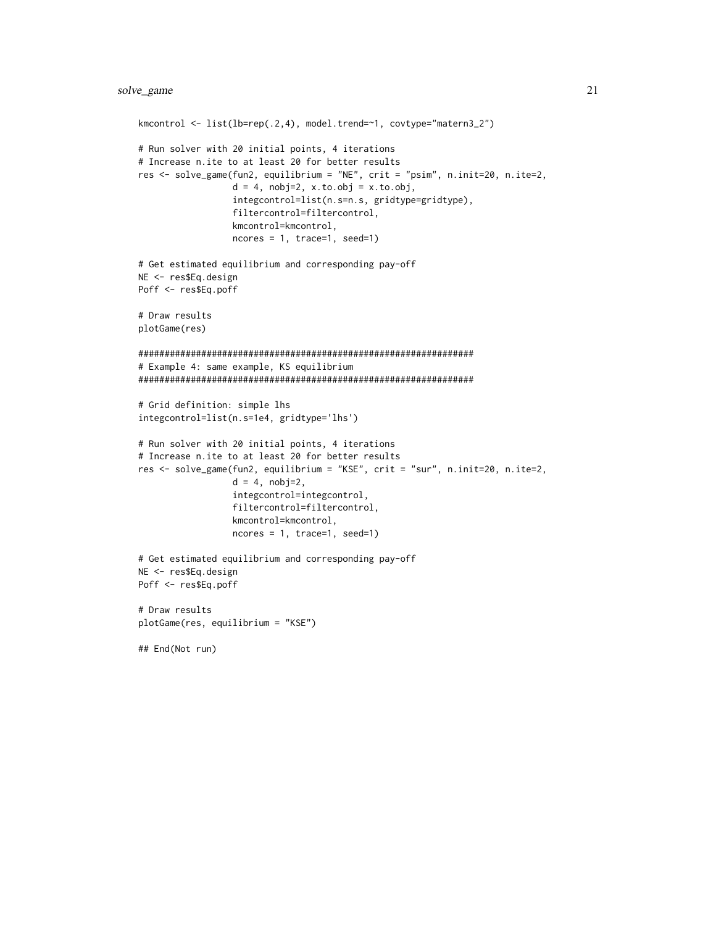```
kmcontrol <- list(lb=rep(.2,4), model.trend=~1, covtype="matern3_2")
# Run solver with 20 initial points, 4 iterations
# Increase n.ite to at least 20 for better results
res <- solve_game(fun2, equilibrium = "NE", crit = "psim", n.init=20, n.ite=2,
                  d = 4, nobj=2, x.to.obj = x.to.obj,
                  integcontrol=list(n.s=n.s, gridtype=gridtype),
                  filtercontrol=filtercontrol,
                  kmcontrol=kmcontrol,
                  ncores = 1, trace=1, seed=1)
# Get estimated equilibrium and corresponding pay-off
NE <- res$Eq.design
Poff <- res$Eq.poff
# Draw results
plotGame(res)
################################################################
# Example 4: same example, KS equilibrium
################################################################
# Grid definition: simple lhs
integcontrol=list(n.s=1e4, gridtype='lhs')
# Run solver with 20 initial points, 4 iterations
# Increase n.ite to at least 20 for better results
res <- solve_game(fun2, equilibrium = "KSE", crit = "sur", n.init=20, n.ite=2,
                  d = 4, nobj=2,
                  integcontrol=integcontrol,
                  filtercontrol=filtercontrol,
                  kmcontrol=kmcontrol,
                  ncores = 1, trace=1, seed=1)
# Get estimated equilibrium and corresponding pay-off
NE <- res$Eq.design
Poff <- res$Eq.poff
# Draw results
plotGame(res, equilibrium = "KSE")
## End(Not run)
```